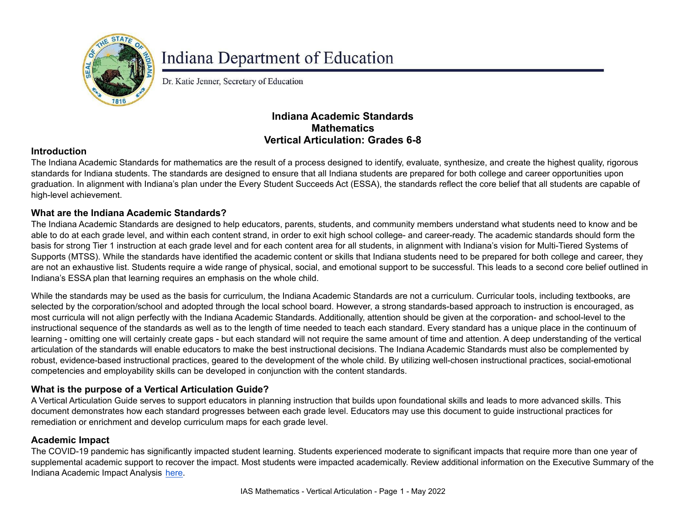

# **Indiana Department of Education**

Dr. Katie Jenner, Secretary of Education

## **Indiana Academic Standards Mathematics Vertical Articulation: Grades 6-8**

### **Introduction**

The Indiana Academic Standards for mathematics are the result of a process designed to identify, evaluate, synthesize, and create the highest quality, rigorous standards for Indiana students. The standards are designed to ensure that all Indiana students are prepared for both college and career opportunities upon graduation. In alignment with Indiana's plan under the Every Student Succeeds Act (ESSA), the standards reflect the core belief that all students are capable of high-level achievement.

#### **What are the Indiana Academic Standards?**

The Indiana Academic Standards are designed to help educators, parents, students, and community members understand what students need to know and be able to do at each grade level, and within each content strand, in order to exit high school college- and career-ready. The academic standards should form the basis for strong Tier 1 instruction at each grade level and for each content area for all students, in alignment with Indiana's vision for Multi-Tiered Systems of Supports (MTSS). While the standards have identified the academic content or skills that Indiana students need to be prepared for both college and career, they are not an exhaustive list. Students require a wide range of physical, social, and emotional support to be successful. This leads to a second core belief outlined in Indiana's ESSA plan that learning requires an emphasis on the whole child.

While the standards may be used as the basis for curriculum, the Indiana Academic Standards are not a curriculum. Curricular tools, including textbooks, are selected by the corporation/school and adopted through the local school board. However, a strong standards-based approach to instruction is encouraged, as most curricula will not align perfectly with the Indiana Academic Standards. Additionally, attention should be given at the corporation- and school-level to the instructional sequence of the standards as well as to the length of time needed to teach each standard. Every standard has a unique place in the continuum of learning - omitting one will certainly create gaps - but each standard will not require the same amount of time and attention. A deep understanding of the vertical articulation of the standards will enable educators to make the best instructional decisions. The Indiana Academic Standards must also be complemented by robust, evidence-based instructional practices, geared to the development of the whole child. By utilizing well-chosen instructional practices, social-emotional competencies and employability skills can be developed in conjunction with the content standards.

#### **What is the purpose of a Vertical Articulation Guide?**

A Vertical Articulation Guide serves to support educators in planning instruction that builds upon foundational skills and leads to more advanced skills. This document demonstrates how each standard progresses between each grade level. Educators may use this document to guide instructional practices for remediation or enrichment and develop curriculum maps for each grade level.

#### **Academic Impact**

The COVID-19 pandemic has significantly impacted student learning. Students experienced moderate to significant impacts that require more than one year of supplemental academic support to recover the impact. Most students were impacted academically. Review additional information on the Executive Summary of the Indiana Academic Impact Analysis [here](https://media.doe.in.gov/assessment/7.14.21-sboe-presentation.pdf).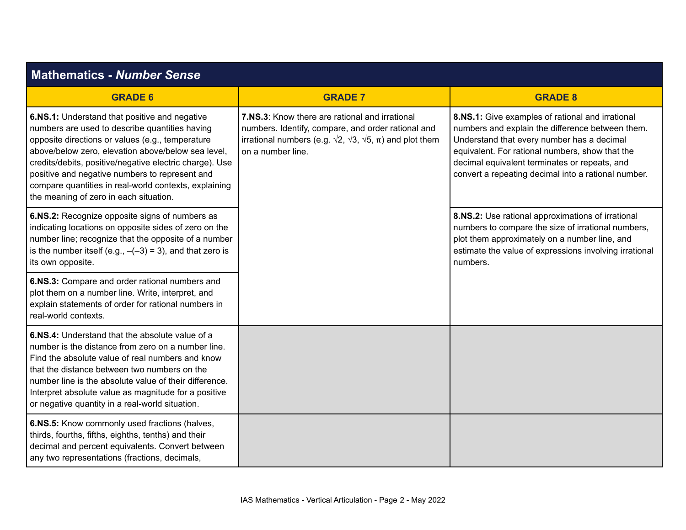| <b>Mathematics - Number Sense</b>                                                                                                                                                                                                                                                                                                                                                                                         |                                                                                                                                                                                                                    |                                                                                                                                                                                                                                                                                                               |
|---------------------------------------------------------------------------------------------------------------------------------------------------------------------------------------------------------------------------------------------------------------------------------------------------------------------------------------------------------------------------------------------------------------------------|--------------------------------------------------------------------------------------------------------------------------------------------------------------------------------------------------------------------|---------------------------------------------------------------------------------------------------------------------------------------------------------------------------------------------------------------------------------------------------------------------------------------------------------------|
| <b>GRADE 6</b>                                                                                                                                                                                                                                                                                                                                                                                                            | <b>GRADE 7</b>                                                                                                                                                                                                     | <b>GRADE 8</b>                                                                                                                                                                                                                                                                                                |
| 6.NS.1: Understand that positive and negative<br>numbers are used to describe quantities having<br>opposite directions or values (e.g., temperature<br>above/below zero, elevation above/below sea level,<br>credits/debits, positive/negative electric charge). Use<br>positive and negative numbers to represent and<br>compare quantities in real-world contexts, explaining<br>the meaning of zero in each situation. | 7.NS.3: Know there are rational and irrational<br>numbers. Identify, compare, and order rational and<br>irrational numbers (e.g. $\sqrt{2}$ , $\sqrt{3}$ , $\sqrt{5}$ , $\pi$ ) and plot them<br>on a number line. | 8.NS.1: Give examples of rational and irrational<br>numbers and explain the difference between them.<br>Understand that every number has a decimal<br>equivalent. For rational numbers, show that the<br>decimal equivalent terminates or repeats, and<br>convert a repeating decimal into a rational number. |
| 6.NS.2: Recognize opposite signs of numbers as<br>indicating locations on opposite sides of zero on the<br>number line; recognize that the opposite of a number<br>is the number itself (e.g., $-(-3) = 3$ ), and that zero is<br>its own opposite.                                                                                                                                                                       |                                                                                                                                                                                                                    | 8.NS.2: Use rational approximations of irrational<br>numbers to compare the size of irrational numbers,<br>plot them approximately on a number line, and<br>estimate the value of expressions involving irrational<br>numbers.                                                                                |
| 6.NS.3: Compare and order rational numbers and<br>plot them on a number line. Write, interpret, and<br>explain statements of order for rational numbers in<br>real-world contexts.                                                                                                                                                                                                                                        |                                                                                                                                                                                                                    |                                                                                                                                                                                                                                                                                                               |
| 6.NS.4: Understand that the absolute value of a<br>number is the distance from zero on a number line.<br>Find the absolute value of real numbers and know<br>that the distance between two numbers on the<br>number line is the absolute value of their difference.<br>Interpret absolute value as magnitude for a positive<br>or negative quantity in a real-world situation.                                            |                                                                                                                                                                                                                    |                                                                                                                                                                                                                                                                                                               |
| 6.NS.5: Know commonly used fractions (halves,<br>thirds, fourths, fifths, eighths, tenths) and their<br>decimal and percent equivalents. Convert between<br>any two representations (fractions, decimals,                                                                                                                                                                                                                 |                                                                                                                                                                                                                    |                                                                                                                                                                                                                                                                                                               |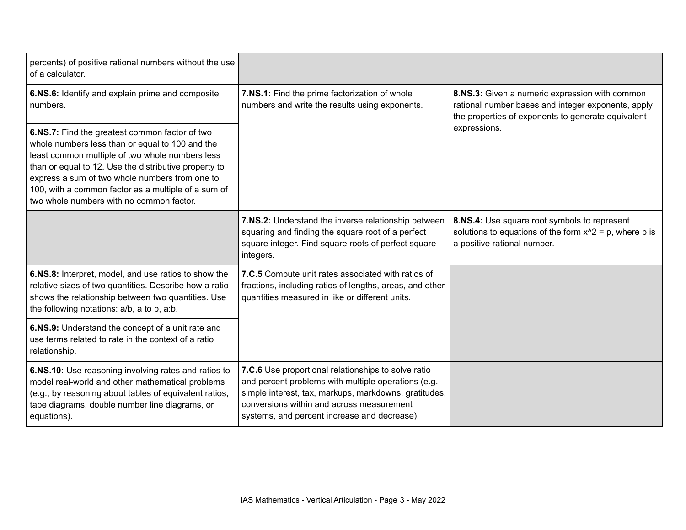| percents) of positive rational numbers without the use<br>of a calculator.                                                                                                                                                                                                                                                                                         |                                                                                                                                                                                                                                                                  |                                                                                                                                                            |
|--------------------------------------------------------------------------------------------------------------------------------------------------------------------------------------------------------------------------------------------------------------------------------------------------------------------------------------------------------------------|------------------------------------------------------------------------------------------------------------------------------------------------------------------------------------------------------------------------------------------------------------------|------------------------------------------------------------------------------------------------------------------------------------------------------------|
| 6.NS.6: Identify and explain prime and composite<br>numbers.                                                                                                                                                                                                                                                                                                       | 7.NS.1: Find the prime factorization of whole<br>numbers and write the results using exponents.                                                                                                                                                                  | 8.NS.3: Given a numeric expression with common<br>rational number bases and integer exponents, apply<br>the properties of exponents to generate equivalent |
| 6.NS.7: Find the greatest common factor of two<br>whole numbers less than or equal to 100 and the<br>least common multiple of two whole numbers less<br>than or equal to 12. Use the distributive property to<br>express a sum of two whole numbers from one to<br>100, with a common factor as a multiple of a sum of<br>two whole numbers with no common factor. |                                                                                                                                                                                                                                                                  | expressions.                                                                                                                                               |
|                                                                                                                                                                                                                                                                                                                                                                    | 7.NS.2: Understand the inverse relationship between<br>squaring and finding the square root of a perfect<br>square integer. Find square roots of perfect square<br>integers.                                                                                     | 8.NS.4: Use square root symbols to represent<br>solutions to equations of the form $x^2 = p$ , where p is<br>a positive rational number.                   |
| 6.NS.8: Interpret, model, and use ratios to show the<br>relative sizes of two quantities. Describe how a ratio<br>shows the relationship between two quantities. Use<br>the following notations: a/b, a to b, a:b.                                                                                                                                                 | 7.C.5 Compute unit rates associated with ratios of<br>fractions, including ratios of lengths, areas, and other<br>quantities measured in like or different units.                                                                                                |                                                                                                                                                            |
| 6.NS.9: Understand the concept of a unit rate and<br>use terms related to rate in the context of a ratio<br>relationship.                                                                                                                                                                                                                                          |                                                                                                                                                                                                                                                                  |                                                                                                                                                            |
| 6.NS.10: Use reasoning involving rates and ratios to<br>model real-world and other mathematical problems<br>(e.g., by reasoning about tables of equivalent ratios,<br>tape diagrams, double number line diagrams, or<br>equations).                                                                                                                                | 7.C.6 Use proportional relationships to solve ratio<br>and percent problems with multiple operations (e.g.<br>simple interest, tax, markups, markdowns, gratitudes,<br>conversions within and across measurement<br>systems, and percent increase and decrease). |                                                                                                                                                            |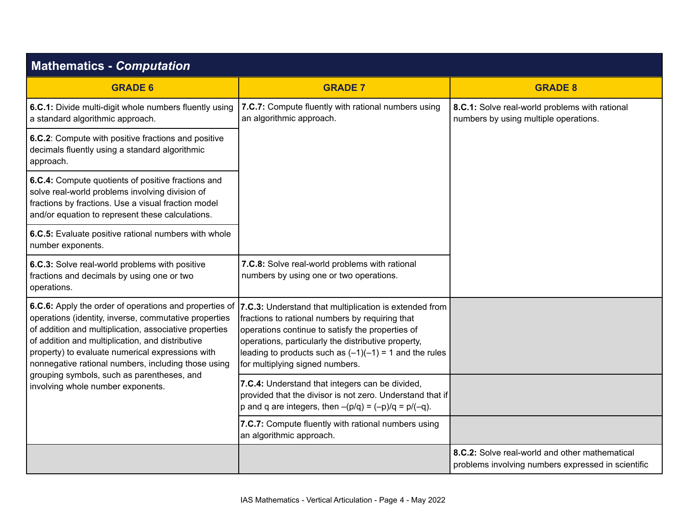| <b>Mathematics - Computation</b>                                                                                                                                                                                                                                               |                                                                                                                                                                                                                                                                                                                                                                             |                                                                                                      |
|--------------------------------------------------------------------------------------------------------------------------------------------------------------------------------------------------------------------------------------------------------------------------------|-----------------------------------------------------------------------------------------------------------------------------------------------------------------------------------------------------------------------------------------------------------------------------------------------------------------------------------------------------------------------------|------------------------------------------------------------------------------------------------------|
| <b>GRADE 6</b>                                                                                                                                                                                                                                                                 | <b>GRADE 7</b>                                                                                                                                                                                                                                                                                                                                                              | <b>GRADE 8</b>                                                                                       |
| 6.C.1: Divide multi-digit whole numbers fluently using<br>a standard algorithmic approach.                                                                                                                                                                                     | 7.C.7: Compute fluently with rational numbers using<br>an algorithmic approach.                                                                                                                                                                                                                                                                                             | 8.C.1: Solve real-world problems with rational<br>numbers by using multiple operations.              |
| 6.C.2: Compute with positive fractions and positive<br>decimals fluently using a standard algorithmic<br>approach.                                                                                                                                                             |                                                                                                                                                                                                                                                                                                                                                                             |                                                                                                      |
| 6.C.4: Compute quotients of positive fractions and<br>solve real-world problems involving division of<br>fractions by fractions. Use a visual fraction model<br>and/or equation to represent these calculations.                                                               |                                                                                                                                                                                                                                                                                                                                                                             |                                                                                                      |
| 6.C.5: Evaluate positive rational numbers with whole<br>number exponents.                                                                                                                                                                                                      |                                                                                                                                                                                                                                                                                                                                                                             |                                                                                                      |
| 6.C.3: Solve real-world problems with positive<br>fractions and decimals by using one or two<br>operations.                                                                                                                                                                    | 7.C.8: Solve real-world problems with rational<br>numbers by using one or two operations.                                                                                                                                                                                                                                                                                   |                                                                                                      |
| operations (identity, inverse, commutative properties<br>of addition and multiplication, associative properties<br>of addition and multiplication, and distributive<br>property) to evaluate numerical expressions with<br>nonnegative rational numbers, including those using | 6.C.6: Apply the order of operations and properties of  7.C.3: Understand that multiplication is extended from<br>fractions to rational numbers by requiring that<br>operations continue to satisfy the properties of<br>operations, particularly the distributive property,<br>leading to products such as $(-1)(-1) = 1$ and the rules<br>for multiplying signed numbers. |                                                                                                      |
| grouping symbols, such as parentheses, and<br>involving whole number exponents.                                                                                                                                                                                                | 7.C.4: Understand that integers can be divided,<br>provided that the divisor is not zero. Understand that if<br>p and q are integers, then $-(p/q) = (-p)/q = p/(-q)$ .                                                                                                                                                                                                     |                                                                                                      |
|                                                                                                                                                                                                                                                                                | 7.C.7: Compute fluently with rational numbers using<br>an algorithmic approach.                                                                                                                                                                                                                                                                                             |                                                                                                      |
|                                                                                                                                                                                                                                                                                |                                                                                                                                                                                                                                                                                                                                                                             | 8.C.2: Solve real-world and other mathematical<br>problems involving numbers expressed in scientific |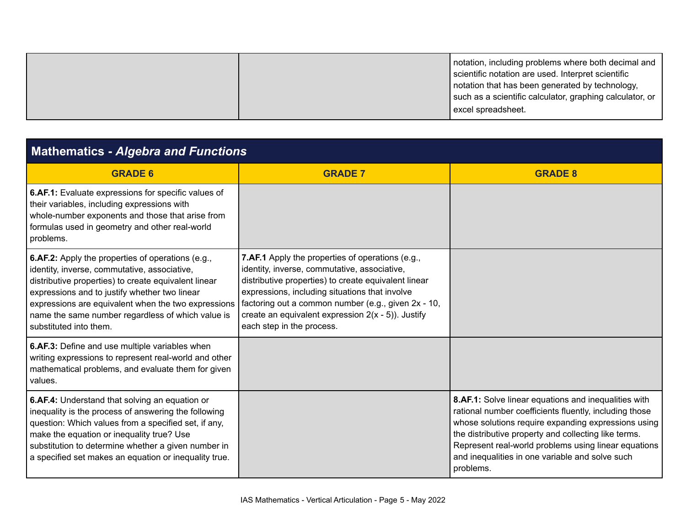| lexcel spreadsheet. |
|---------------------|
|---------------------|

| <b>Mathematics - Algebra and Functions</b>                                                                                                                                                                                                                                                                                                              |                                                                                                                                                                                                                                                                                                                                                                |                                                                                                                                                                                                                                                                                                                                                       |
|---------------------------------------------------------------------------------------------------------------------------------------------------------------------------------------------------------------------------------------------------------------------------------------------------------------------------------------------------------|----------------------------------------------------------------------------------------------------------------------------------------------------------------------------------------------------------------------------------------------------------------------------------------------------------------------------------------------------------------|-------------------------------------------------------------------------------------------------------------------------------------------------------------------------------------------------------------------------------------------------------------------------------------------------------------------------------------------------------|
| <b>GRADE 6</b>                                                                                                                                                                                                                                                                                                                                          | <b>GRADE 7</b>                                                                                                                                                                                                                                                                                                                                                 | <b>GRADE 8</b>                                                                                                                                                                                                                                                                                                                                        |
| 6.AF.1: Evaluate expressions for specific values of<br>their variables, including expressions with<br>whole-number exponents and those that arise from<br>formulas used in geometry and other real-world<br>problems.                                                                                                                                   |                                                                                                                                                                                                                                                                                                                                                                |                                                                                                                                                                                                                                                                                                                                                       |
| <b>6.AF.2:</b> Apply the properties of operations (e.g.,<br>identity, inverse, commutative, associative,<br>distributive properties) to create equivalent linear<br>expressions and to justify whether two linear<br>expressions are equivalent when the two expressions<br>name the same number regardless of which value is<br>substituted into them. | <b>7.AF.1</b> Apply the properties of operations (e.g.,<br>identity, inverse, commutative, associative,<br>distributive properties) to create equivalent linear<br>expressions, including situations that involve<br>factoring out a common number (e.g., given 2x - 10,<br>create an equivalent expression $2(x - 5)$ ). Justify<br>each step in the process. |                                                                                                                                                                                                                                                                                                                                                       |
| 6.AF.3: Define and use multiple variables when<br>writing expressions to represent real-world and other<br>mathematical problems, and evaluate them for given<br>values.                                                                                                                                                                                |                                                                                                                                                                                                                                                                                                                                                                |                                                                                                                                                                                                                                                                                                                                                       |
| 6.AF.4: Understand that solving an equation or<br>inequality is the process of answering the following<br>question: Which values from a specified set, if any,<br>make the equation or inequality true? Use<br>substitution to determine whether a given number in<br>a specified set makes an equation or inequality true.                             |                                                                                                                                                                                                                                                                                                                                                                | 8.AF.1: Solve linear equations and inequalities with<br>rational number coefficients fluently, including those<br>whose solutions require expanding expressions using<br>the distributive property and collecting like terms.<br>Represent real-world problems using linear equations<br>and inequalities in one variable and solve such<br>problems. |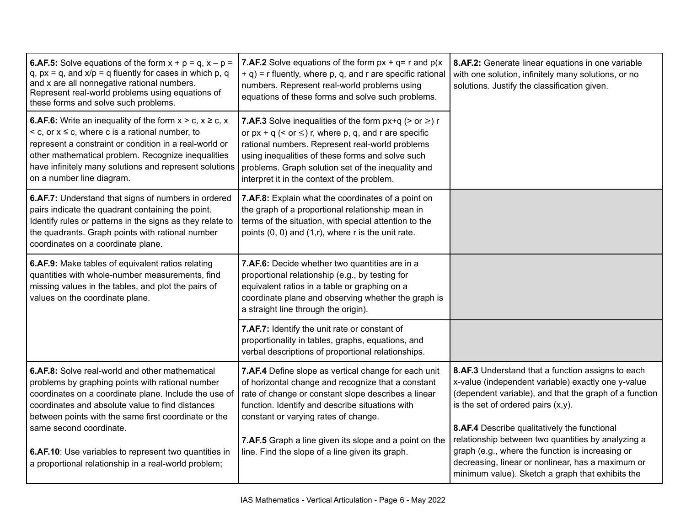| <b>6.AF.5:</b> Solve equations of the form $x + p = q$ , $x - p =$<br>q, $px = q$ , and $x/p = q$ fluently for cases in which p, q<br>and x are all nonnegative rational numbers.<br>Represent real-world problems using equations of<br>these forms and solve such problems.                                                                                                                                        | <b>7.AF.2</b> Solve equations of the form $px + q = r$ and $p(x)$<br>+ q) = r fluently, where p, q, and r are specific rational<br>numbers. Represent real-world problems using<br>equations of these forms and solve such problems.                                                                                                                                      | 8.AF.2: Generate linear equations in one variable<br>with one solution, infinitely many solutions, or no<br>solutions. Justify the classification given.                                                                                                                                                                                                                                                                                                                      |
|----------------------------------------------------------------------------------------------------------------------------------------------------------------------------------------------------------------------------------------------------------------------------------------------------------------------------------------------------------------------------------------------------------------------|---------------------------------------------------------------------------------------------------------------------------------------------------------------------------------------------------------------------------------------------------------------------------------------------------------------------------------------------------------------------------|-------------------------------------------------------------------------------------------------------------------------------------------------------------------------------------------------------------------------------------------------------------------------------------------------------------------------------------------------------------------------------------------------------------------------------------------------------------------------------|
| <b>6.AF.6:</b> Write an inequality of the form $x > c$ , $x \ge c$ , $x$<br>$\leq$ c, or $x \leq c$ , where c is a rational number, to<br>represent a constraint or condition in a real-world or<br>other mathematical problem. Recognize inequalities<br>have infinitely many solutions and represent solutions<br>on a number line diagram.                                                                        | <b>7.AF.3</b> Solve inequalities of the form $px+q$ (> or $\geq$ ) r<br>or $px + q$ (< or $\leq$ ) r, where p, q, and r are specific<br>rational numbers. Represent real-world problems<br>using inequalities of these forms and solve such<br>problems. Graph solution set of the inequality and<br>interpret it in the context of the problem.                          |                                                                                                                                                                                                                                                                                                                                                                                                                                                                               |
| 6.AF.7: Understand that signs of numbers in ordered<br>pairs indicate the quadrant containing the point.<br>Identify rules or patterns in the signs as they relate to<br>the quadrants. Graph points with rational number<br>coordinates on a coordinate plane.                                                                                                                                                      | 7.AF.8: Explain what the coordinates of a point on<br>the graph of a proportional relationship mean in<br>terms of the situation, with special attention to the<br>points $(0, 0)$ and $(1,r)$ , where r is the unit rate.                                                                                                                                                |                                                                                                                                                                                                                                                                                                                                                                                                                                                                               |
| 6.AF.9: Make tables of equivalent ratios relating<br>quantities with whole-number measurements, find<br>missing values in the tables, and plot the pairs of<br>values on the coordinate plane.                                                                                                                                                                                                                       | 7.AF.6: Decide whether two quantities are in a<br>proportional relationship (e.g., by testing for<br>equivalent ratios in a table or graphing on a<br>coordinate plane and observing whether the graph is<br>a straight line through the origin).                                                                                                                         |                                                                                                                                                                                                                                                                                                                                                                                                                                                                               |
|                                                                                                                                                                                                                                                                                                                                                                                                                      | 7.AF.7: Identify the unit rate or constant of<br>proportionality in tables, graphs, equations, and<br>verbal descriptions of proportional relationships.                                                                                                                                                                                                                  |                                                                                                                                                                                                                                                                                                                                                                                                                                                                               |
| 6.AF.8: Solve real-world and other mathematical<br>problems by graphing points with rational number<br>coordinates on a coordinate plane. Include the use of<br>coordinates and absolute value to find distances<br>between points with the same first coordinate or the<br>same second coordinate.<br>6.AF.10: Use variables to represent two quantities in<br>a proportional relationship in a real-world problem; | 7.AF.4 Define slope as vertical change for each unit<br>of horizontal change and recognize that a constant<br>rate of change or constant slope describes a linear<br>function. Identify and describe situations with<br>constant or varying rates of change.<br>7.AF.5 Graph a line given its slope and a point on the<br>line. Find the slope of a line given its graph. | 8.AF.3 Understand that a function assigns to each<br>x-value (independent variable) exactly one y-value<br>(dependent variable), and that the graph of a function<br>is the set of ordered pairs $(x,y)$ .<br>8.AF.4 Describe qualitatively the functional<br>relationship between two quantities by analyzing a<br>graph (e.g., where the function is increasing or<br>decreasing, linear or nonlinear, has a maximum or<br>minimum value). Sketch a graph that exhibits the |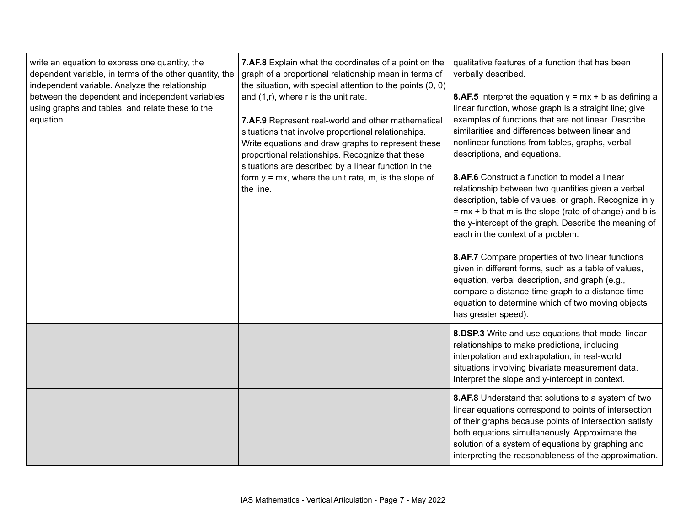| write an equation to express one quantity, the<br>dependent variable, in terms of the other quantity, the<br>independent variable. Analyze the relationship<br>between the dependent and independent variables<br>using graphs and tables, and relate these to the<br>equation. | 7.AF.8 Explain what the coordinates of a point on the<br>graph of a proportional relationship mean in terms of<br>the situation, with special attention to the points $(0, 0)$<br>and $(1,r)$ , where r is the unit rate.<br>7.AF.9 Represent real-world and other mathematical<br>situations that involve proportional relationships.<br>Write equations and draw graphs to represent these<br>proportional relationships. Recognize that these<br>situations are described by a linear function in the<br>form $y = mx$ , where the unit rate, $m$ , is the slope of<br>the line. | qualitative features of a function that has been<br>verbally described.<br><b>8.AF.5</b> Interpret the equation $y = mx + b$ as defining a<br>linear function, whose graph is a straight line; give<br>examples of functions that are not linear. Describe<br>similarities and differences between linear and<br>nonlinear functions from tables, graphs, verbal<br>descriptions, and equations.<br>8.AF.6 Construct a function to model a linear<br>relationship between two quantities given a verbal<br>description, table of values, or graph. Recognize in y<br>$= mx + b$ that m is the slope (rate of change) and b is<br>the y-intercept of the graph. Describe the meaning of<br>each in the context of a problem.<br>8.AF.7 Compare properties of two linear functions<br>given in different forms, such as a table of values,<br>equation, verbal description, and graph (e.g.,<br>compare a distance-time graph to a distance-time<br>equation to determine which of two moving objects<br>has greater speed). |
|---------------------------------------------------------------------------------------------------------------------------------------------------------------------------------------------------------------------------------------------------------------------------------|-------------------------------------------------------------------------------------------------------------------------------------------------------------------------------------------------------------------------------------------------------------------------------------------------------------------------------------------------------------------------------------------------------------------------------------------------------------------------------------------------------------------------------------------------------------------------------------|----------------------------------------------------------------------------------------------------------------------------------------------------------------------------------------------------------------------------------------------------------------------------------------------------------------------------------------------------------------------------------------------------------------------------------------------------------------------------------------------------------------------------------------------------------------------------------------------------------------------------------------------------------------------------------------------------------------------------------------------------------------------------------------------------------------------------------------------------------------------------------------------------------------------------------------------------------------------------------------------------------------------------|
|                                                                                                                                                                                                                                                                                 |                                                                                                                                                                                                                                                                                                                                                                                                                                                                                                                                                                                     | 8.DSP.3 Write and use equations that model linear<br>relationships to make predictions, including<br>interpolation and extrapolation, in real-world<br>situations involving bivariate measurement data.<br>Interpret the slope and y-intercept in context.                                                                                                                                                                                                                                                                                                                                                                                                                                                                                                                                                                                                                                                                                                                                                                 |
|                                                                                                                                                                                                                                                                                 |                                                                                                                                                                                                                                                                                                                                                                                                                                                                                                                                                                                     | 8.AF.8 Understand that solutions to a system of two<br>linear equations correspond to points of intersection<br>of their graphs because points of intersection satisfy<br>both equations simultaneously. Approximate the<br>solution of a system of equations by graphing and<br>interpreting the reasonableness of the approximation.                                                                                                                                                                                                                                                                                                                                                                                                                                                                                                                                                                                                                                                                                     |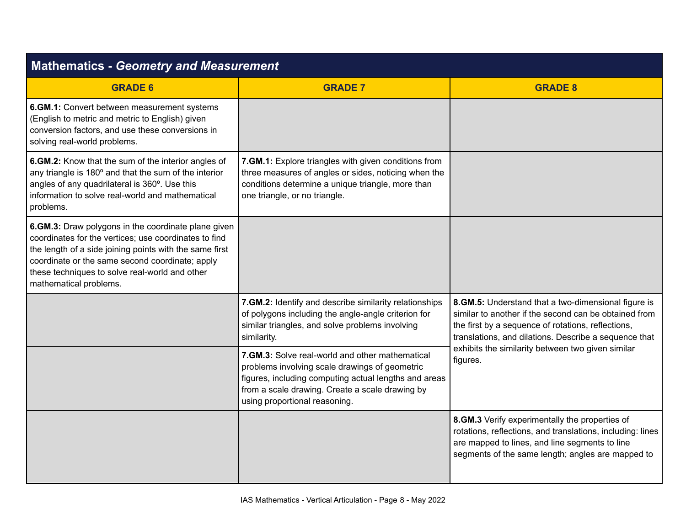| <b>Mathematics - Geometry and Measurement</b>                                                                                                                                                                                                                                                          |                                                                                                                                                                                                                                                |                                                                                                                                                                                                                                                                                              |
|--------------------------------------------------------------------------------------------------------------------------------------------------------------------------------------------------------------------------------------------------------------------------------------------------------|------------------------------------------------------------------------------------------------------------------------------------------------------------------------------------------------------------------------------------------------|----------------------------------------------------------------------------------------------------------------------------------------------------------------------------------------------------------------------------------------------------------------------------------------------|
| <b>GRADE 6</b>                                                                                                                                                                                                                                                                                         | <b>GRADE 7</b>                                                                                                                                                                                                                                 | <b>GRADE 8</b>                                                                                                                                                                                                                                                                               |
| 6.GM.1: Convert between measurement systems<br>(English to metric and metric to English) given<br>conversion factors, and use these conversions in<br>solving real-world problems.                                                                                                                     |                                                                                                                                                                                                                                                |                                                                                                                                                                                                                                                                                              |
| 6.GM.2: Know that the sum of the interior angles of<br>any triangle is 180° and that the sum of the interior<br>angles of any quadrilateral is 360°. Use this<br>information to solve real-world and mathematical<br>problems.                                                                         | 7.GM.1: Explore triangles with given conditions from<br>three measures of angles or sides, noticing when the<br>conditions determine a unique triangle, more than<br>one triangle, or no triangle.                                             |                                                                                                                                                                                                                                                                                              |
| 6.GM.3: Draw polygons in the coordinate plane given<br>coordinates for the vertices; use coordinates to find<br>the length of a side joining points with the same first<br>coordinate or the same second coordinate; apply<br>these techniques to solve real-world and other<br>mathematical problems. |                                                                                                                                                                                                                                                |                                                                                                                                                                                                                                                                                              |
|                                                                                                                                                                                                                                                                                                        | 7.GM.2: Identify and describe similarity relationships<br>of polygons including the angle-angle criterion for<br>similar triangles, and solve problems involving<br>similarity.                                                                | 8.GM.5: Understand that a two-dimensional figure is<br>similar to another if the second can be obtained from<br>the first by a sequence of rotations, reflections,<br>translations, and dilations. Describe a sequence that<br>exhibits the similarity between two given similar<br>figures. |
|                                                                                                                                                                                                                                                                                                        | 7.GM.3: Solve real-world and other mathematical<br>problems involving scale drawings of geometric<br>figures, including computing actual lengths and areas<br>from a scale drawing. Create a scale drawing by<br>using proportional reasoning. |                                                                                                                                                                                                                                                                                              |
|                                                                                                                                                                                                                                                                                                        |                                                                                                                                                                                                                                                | 8.GM.3 Verify experimentally the properties of<br>rotations, reflections, and translations, including: lines<br>are mapped to lines, and line segments to line<br>segments of the same length; angles are mapped to                                                                          |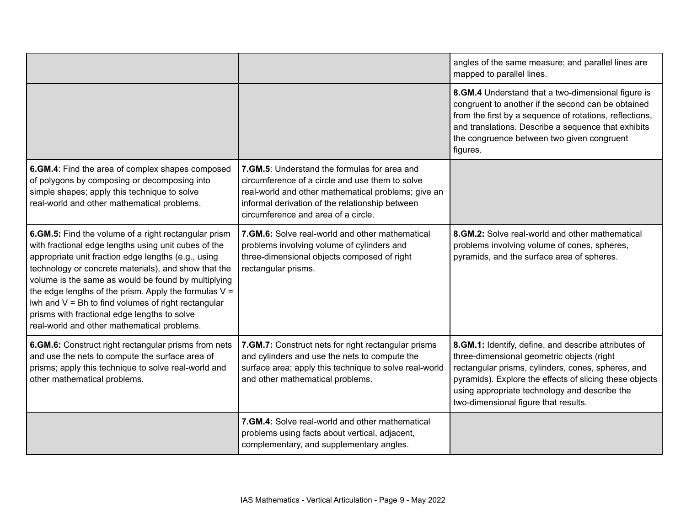|                                                                                                                                                                                                                                                                                                                                                                                                                                                                                                       |                                                                                                                                                                                                                                                   | angles of the same measure; and parallel lines are<br>mapped to parallel lines.                                                                                                                                                                                                                              |
|-------------------------------------------------------------------------------------------------------------------------------------------------------------------------------------------------------------------------------------------------------------------------------------------------------------------------------------------------------------------------------------------------------------------------------------------------------------------------------------------------------|---------------------------------------------------------------------------------------------------------------------------------------------------------------------------------------------------------------------------------------------------|--------------------------------------------------------------------------------------------------------------------------------------------------------------------------------------------------------------------------------------------------------------------------------------------------------------|
|                                                                                                                                                                                                                                                                                                                                                                                                                                                                                                       |                                                                                                                                                                                                                                                   | 8.GM.4 Understand that a two-dimensional figure is<br>congruent to another if the second can be obtained<br>from the first by a sequence of rotations, reflections,<br>and translations. Describe a sequence that exhibits<br>the congruence between two given congruent<br>figures.                         |
| 6.GM.4: Find the area of complex shapes composed<br>of polygons by composing or decomposing into<br>simple shapes; apply this technique to solve<br>real-world and other mathematical problems.                                                                                                                                                                                                                                                                                                       | 7. GM.5: Understand the formulas for area and<br>circumference of a circle and use them to solve<br>real-world and other mathematical problems; give an<br>informal derivation of the relationship between<br>circumference and area of a circle. |                                                                                                                                                                                                                                                                                                              |
| 6.GM.5: Find the volume of a right rectangular prism<br>with fractional edge lengths using unit cubes of the<br>appropriate unit fraction edge lengths (e.g., using<br>technology or concrete materials), and show that the<br>volume is the same as would be found by multiplying<br>the edge lengths of the prism. Apply the formulas $V =$<br>Iwh and $V = Bh$ to find volumes of right rectangular<br>prisms with fractional edge lengths to solve<br>real-world and other mathematical problems. | 7. GM.6: Solve real-world and other mathematical<br>problems involving volume of cylinders and<br>three-dimensional objects composed of right<br>rectangular prisms.                                                                              | 8. GM.2: Solve real-world and other mathematical<br>problems involving volume of cones, spheres,<br>pyramids, and the surface area of spheres.                                                                                                                                                               |
| 6.GM.6: Construct right rectangular prisms from nets<br>and use the nets to compute the surface area of<br>prisms; apply this technique to solve real-world and<br>other mathematical problems.                                                                                                                                                                                                                                                                                                       | 7.GM.7: Construct nets for right rectangular prisms<br>and cylinders and use the nets to compute the<br>surface area; apply this technique to solve real-world<br>and other mathematical problems.                                                | 8.GM.1: Identify, define, and describe attributes of<br>three-dimensional geometric objects (right<br>rectangular prisms, cylinders, cones, spheres, and<br>pyramids). Explore the effects of slicing these objects<br>using appropriate technology and describe the<br>two-dimensional figure that results. |
|                                                                                                                                                                                                                                                                                                                                                                                                                                                                                                       | 7.GM.4: Solve real-world and other mathematical<br>problems using facts about vertical, adjacent,<br>complementary, and supplementary angles.                                                                                                     |                                                                                                                                                                                                                                                                                                              |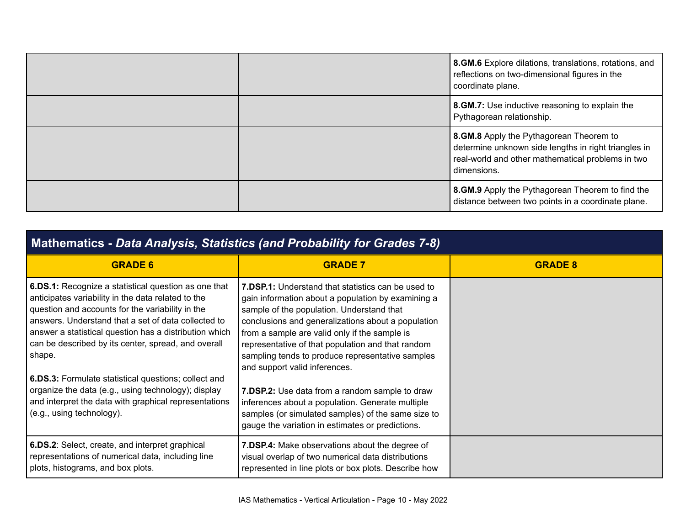|  | 8.GM.6 Explore dilations, translations, rotations, and<br>reflections on two-dimensional figures in the<br>coordinate plane.                                        |
|--|---------------------------------------------------------------------------------------------------------------------------------------------------------------------|
|  | 8. GM.7: Use inductive reasoning to explain the<br>Pythagorean relationship.                                                                                        |
|  | 8.GM.8 Apply the Pythagorean Theorem to<br>determine unknown side lengths in right triangles in<br>real-world and other mathematical problems in two<br>dimensions. |
|  | 8.GM.9 Apply the Pythagorean Theorem to find the<br>distance between two points in a coordinate plane.                                                              |

| Mathematics - Data Analysis, Statistics (and Probability for Grades 7-8)                                                                                                                                                                                                                                                                         |                                                                                                                                                                                                                                                                                                                                                                                                               |                |
|--------------------------------------------------------------------------------------------------------------------------------------------------------------------------------------------------------------------------------------------------------------------------------------------------------------------------------------------------|---------------------------------------------------------------------------------------------------------------------------------------------------------------------------------------------------------------------------------------------------------------------------------------------------------------------------------------------------------------------------------------------------------------|----------------|
| <b>GRADE 6</b>                                                                                                                                                                                                                                                                                                                                   | <b>GRADE 7</b>                                                                                                                                                                                                                                                                                                                                                                                                | <b>GRADE 8</b> |
| 6.DS.1: Recognize a statistical question as one that<br>anticipates variability in the data related to the<br>question and accounts for the variability in the<br>answers. Understand that a set of data collected to<br>answer a statistical question has a distribution which<br>can be described by its center, spread, and overall<br>shape. | <b>7.DSP.1:</b> Understand that statistics can be used to<br>gain information about a population by examining a<br>sample of the population. Understand that<br>conclusions and generalizations about a population<br>from a sample are valid only if the sample is<br>representative of that population and that random<br>sampling tends to produce representative samples<br>and support valid inferences. |                |
| 6.DS.3: Formulate statistical questions; collect and<br>organize the data (e.g., using technology); display<br>and interpret the data with graphical representations<br>(e.g., using technology).                                                                                                                                                | 7.DSP.2: Use data from a random sample to draw<br>inferences about a population. Generate multiple<br>samples (or simulated samples) of the same size to<br>gauge the variation in estimates or predictions.                                                                                                                                                                                                  |                |
| 6.DS.2: Select, create, and interpret graphical<br>representations of numerical data, including line<br>plots, histograms, and box plots.                                                                                                                                                                                                        | 7.DSP.4: Make observations about the degree of<br>visual overlap of two numerical data distributions<br>represented in line plots or box plots. Describe how                                                                                                                                                                                                                                                  |                |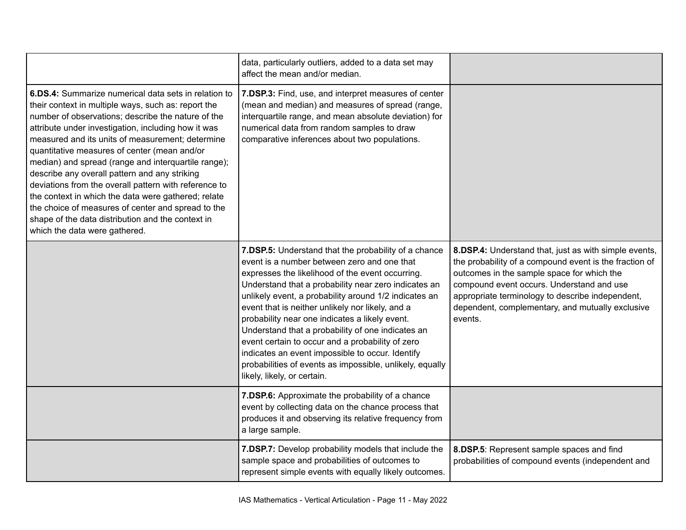|                                                                                                                                                                                                                                                                                                                                                                                                                                                                                                                                                                                                                                                                                                  | data, particularly outliers, added to a data set may<br>affect the mean and/or median.                                                                                                                                                                                                                                                                                                                                                                                                                                                                                                                                                 |                                                                                                                                                                                                                                                                                                                               |
|--------------------------------------------------------------------------------------------------------------------------------------------------------------------------------------------------------------------------------------------------------------------------------------------------------------------------------------------------------------------------------------------------------------------------------------------------------------------------------------------------------------------------------------------------------------------------------------------------------------------------------------------------------------------------------------------------|----------------------------------------------------------------------------------------------------------------------------------------------------------------------------------------------------------------------------------------------------------------------------------------------------------------------------------------------------------------------------------------------------------------------------------------------------------------------------------------------------------------------------------------------------------------------------------------------------------------------------------------|-------------------------------------------------------------------------------------------------------------------------------------------------------------------------------------------------------------------------------------------------------------------------------------------------------------------------------|
| 6.DS.4: Summarize numerical data sets in relation to<br>their context in multiple ways, such as: report the<br>number of observations; describe the nature of the<br>attribute under investigation, including how it was<br>measured and its units of measurement; determine<br>quantitative measures of center (mean and/or<br>median) and spread (range and interquartile range);<br>describe any overall pattern and any striking<br>deviations from the overall pattern with reference to<br>the context in which the data were gathered; relate<br>the choice of measures of center and spread to the<br>shape of the data distribution and the context in<br>which the data were gathered. | 7.DSP.3: Find, use, and interpret measures of center<br>(mean and median) and measures of spread (range,<br>interquartile range, and mean absolute deviation) for<br>numerical data from random samples to draw<br>comparative inferences about two populations.                                                                                                                                                                                                                                                                                                                                                                       |                                                                                                                                                                                                                                                                                                                               |
|                                                                                                                                                                                                                                                                                                                                                                                                                                                                                                                                                                                                                                                                                                  | 7.DSP.5: Understand that the probability of a chance<br>event is a number between zero and one that<br>expresses the likelihood of the event occurring.<br>Understand that a probability near zero indicates an<br>unlikely event, a probability around 1/2 indicates an<br>event that is neither unlikely nor likely, and a<br>probability near one indicates a likely event.<br>Understand that a probability of one indicates an<br>event certain to occur and a probability of zero<br>indicates an event impossible to occur. Identify<br>probabilities of events as impossible, unlikely, equally<br>likely, likely, or certain. | 8.DSP.4: Understand that, just as with simple events,<br>the probability of a compound event is the fraction of<br>outcomes in the sample space for which the<br>compound event occurs. Understand and use<br>appropriate terminology to describe independent,<br>dependent, complementary, and mutually exclusive<br>events. |
|                                                                                                                                                                                                                                                                                                                                                                                                                                                                                                                                                                                                                                                                                                  | 7.DSP.6: Approximate the probability of a chance<br>event by collecting data on the chance process that<br>produces it and observing its relative frequency from<br>a large sample.                                                                                                                                                                                                                                                                                                                                                                                                                                                    |                                                                                                                                                                                                                                                                                                                               |
|                                                                                                                                                                                                                                                                                                                                                                                                                                                                                                                                                                                                                                                                                                  | 7.DSP.7: Develop probability models that include the<br>sample space and probabilities of outcomes to<br>represent simple events with equally likely outcomes.                                                                                                                                                                                                                                                                                                                                                                                                                                                                         | 8.DSP.5: Represent sample spaces and find<br>probabilities of compound events (independent and                                                                                                                                                                                                                                |